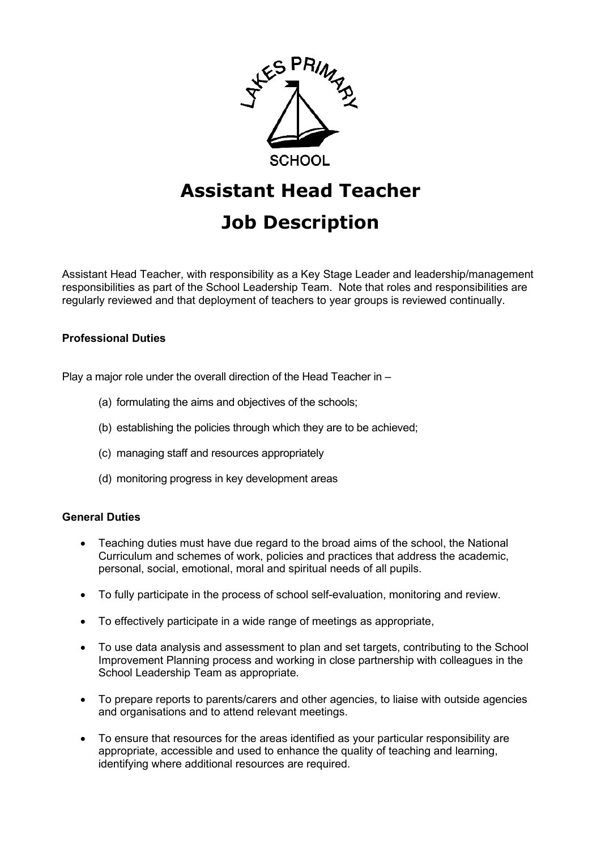

# **Assistant Head Teacher**

# **Job Description**

Assistant Head Teacher, with responsibility as a Key Stage Leader and leadership/management responsibilities as part of the School Leadership Team. Note that roles and responsibilities are regularly reviewed and that deployment of teachers to year groups is reviewed continually.

## **Professional Duties**

Play a major role under the overall direction of the Head Teacher in –

- (a) formulating the aims and objectives of the schools;
- (b) establishing the policies through which they are to be achieved;
- (c) managing staff and resources appropriately
- (d) monitoring progress in key development areas

### **General Duties**

- Teaching duties must have due regard to the broad aims of the school, the National Curriculum and schemes of work, policies and practices that address the academic, personal, social, emotional, moral and spiritual needs of all pupils.
- To fully participate in the process of school self-evaluation, monitoring and review.
- To effectively participate in a wide range of meetings as appropriate,
- To use data analysis and assessment to plan and set targets, contributing to the School Improvement Planning process and working in close partnership with colleagues in the School Leadership Team as appropriate.
- To prepare reports to parents/carers and other agencies, to liaise with outside agencies and organisations and to attend relevant meetings.
- To ensure that resources for the areas identified as your particular responsibility are appropriate, accessible and used to enhance the quality of teaching and learning, identifying where additional resources are required.